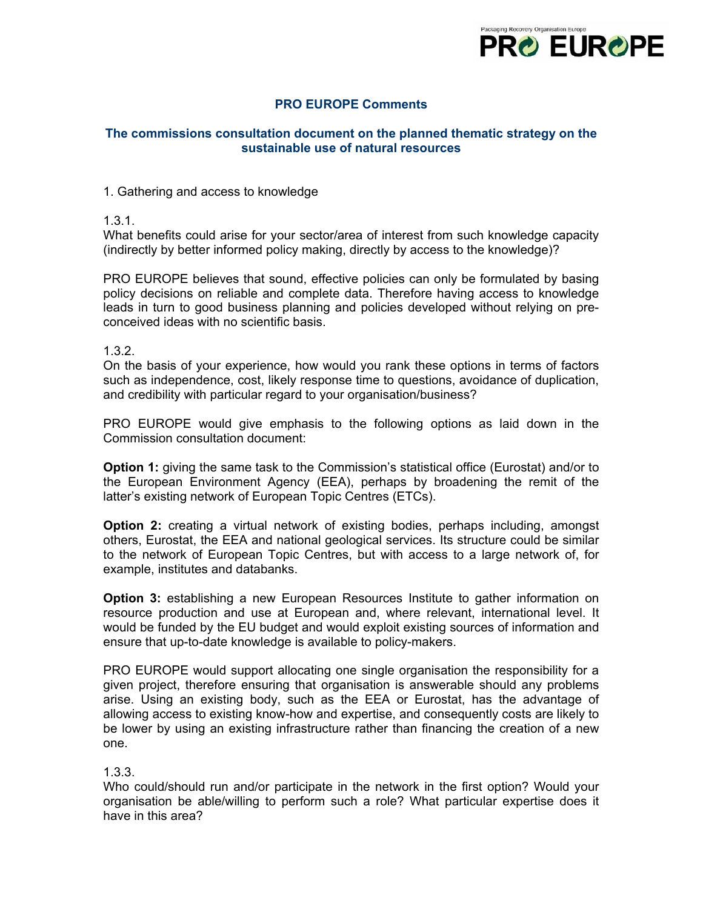

# **PRO EUROPE Comments**

# **The commissions consultation document on the planned thematic strategy on the sustainable use of natural resources**

### 1. Gathering and access to knowledge

### 1.3.1.

What benefits could arise for your sector/area of interest from such knowledge capacity (indirectly by better informed policy making, directly by access to the knowledge)?

PRO EUROPE believes that sound, effective policies can only be formulated by basing policy decisions on reliable and complete data. Therefore having access to knowledge leads in turn to good business planning and policies developed without relying on preconceived ideas with no scientific basis.

# 1.3.2.

On the basis of your experience, how would you rank these options in terms of factors such as independence, cost, likely response time to questions, avoidance of duplication, and credibility with particular regard to your organisation/business?

PRO EUROPE would give emphasis to the following options as laid down in the Commission consultation document:

**Option 1:** giving the same task to the Commission's statistical office (Eurostat) and/or to the European Environment Agency (EEA), perhaps by broadening the remit of the latter's existing network of European Topic Centres (ETCs).

**Option 2:** creating a virtual network of existing bodies, perhaps including, amongst others, Eurostat, the EEA and national geological services. Its structure could be similar to the network of European Topic Centres, but with access to a large network of, for example, institutes and databanks.

**Option 3:** establishing a new European Resources Institute to gather information on resource production and use at European and, where relevant, international level. It would be funded by the EU budget and would exploit existing sources of information and ensure that up-to-date knowledge is available to policy-makers.

PRO EUROPE would support allocating one single organisation the responsibility for a given project, therefore ensuring that organisation is answerable should any problems arise. Using an existing body, such as the EEA or Eurostat, has the advantage of allowing access to existing know-how and expertise, and consequently costs are likely to be lower by using an existing infrastructure rather than financing the creation of a new one.

### 1.3.3.

Who could/should run and/or participate in the network in the first option? Would your organisation be able/willing to perform such a role? What particular expertise does it have in this area?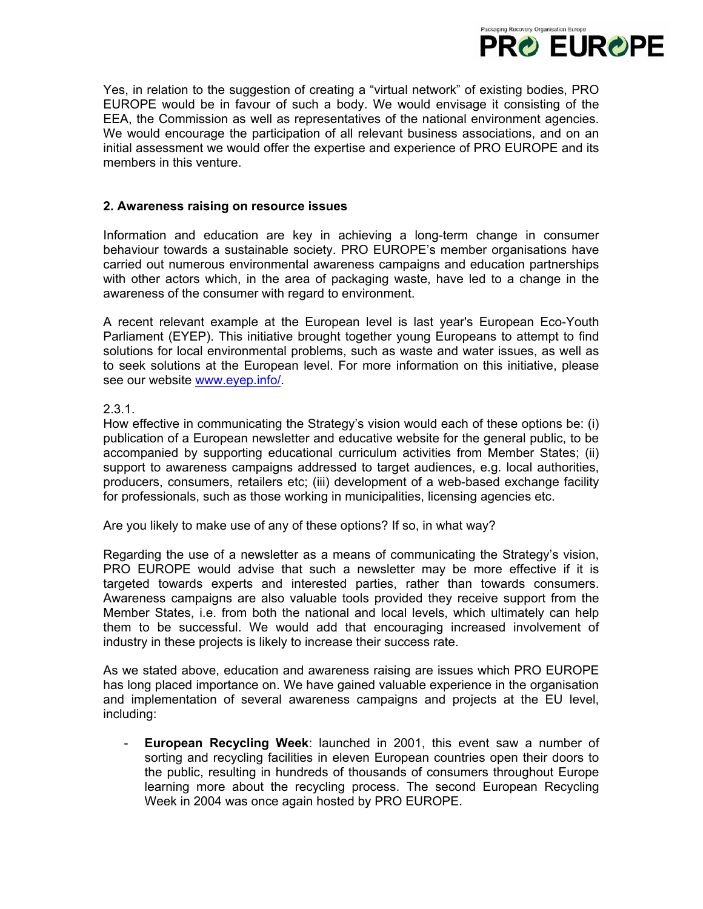

Yes, in relation to the suggestion of creating a "virtual network" of existing bodies, PRO EUROPE would be in favour of such a body. We would envisage it consisting of the EEA, the Commission as well as representatives of the national environment agencies. We would encourage the participation of all relevant business associations, and on an initial assessment we would offer the expertise and experience of PRO EUROPE and its members in this venture.

#### **2. Awareness raising on resource issues**

Information and education are key in achieving a long-term change in consumer behaviour towards a sustainable society. PRO EUROPE's member organisations have carried out numerous environmental awareness campaigns and education partnerships with other actors which, in the area of packaging waste, have led to a change in the awareness of the consumer with regard to environment.

A recent relevant example at the European level is last year's European Eco-Youth Parliament (EYEP). This initiative brought together young Europeans to attempt to find solutions for local environmental problems, such as waste and water issues, as well as to seek solutions at the European level. For more information on this initiative, please see our website [www.eyep.info/.](http://www.eyep.info/)

### $2.3.1.$

How effective in communicating the Strategy's vision would each of these options be: (i) publication of a European newsletter and educative website for the general public, to be accompanied by supporting educational curriculum activities from Member States; (ii) support to awareness campaigns addressed to target audiences, e.g. local authorities, producers, consumers, retailers etc; (iii) development of a web-based exchange facility for professionals, such as those working in municipalities, licensing agencies etc.

Are you likely to make use of any of these options? If so, in what way?

Regarding the use of a newsletter as a means of communicating the Strategy's vision, PRO EUROPE would advise that such a newsletter may be more effective if it is targeted towards experts and interested parties, rather than towards consumers. Awareness campaigns are also valuable tools provided they receive support from the Member States, i.e. from both the national and local levels, which ultimately can help them to be successful. We would add that encouraging increased involvement of industry in these projects is likely to increase their success rate.

As we stated above, education and awareness raising are issues which PRO EUROPE has long placed importance on. We have gained valuable experience in the organisation and implementation of several awareness campaigns and projects at the EU level, including:

- **European Recycling Week**: launched in 2001, this event saw a number of sorting and recycling facilities in eleven European countries open their doors to the public, resulting in hundreds of thousands of consumers throughout Europe learning more about the recycling process. The second European Recycling Week in 2004 was once again hosted by PRO EUROPE.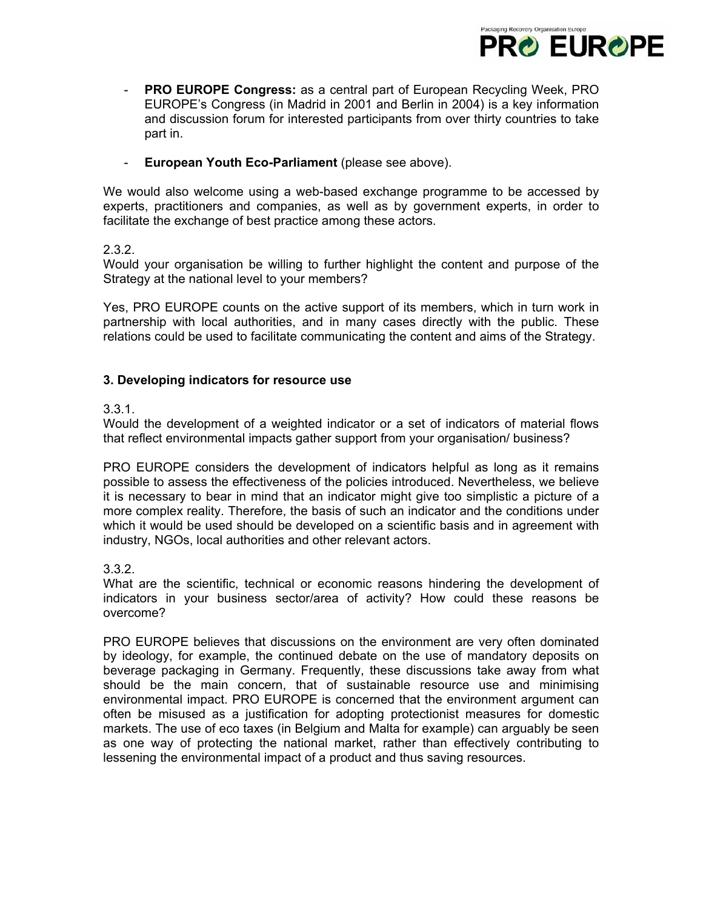

- **PRO EUROPE Congress:** as a central part of European Recycling Week, PRO EUROPE's Congress (in Madrid in 2001 and Berlin in 2004) is a key information and discussion forum for interested participants from over thirty countries to take part in.
- **European Youth Eco-Parliament** (please see above).

We would also welcome using a web-based exchange programme to be accessed by experts, practitioners and companies, as well as by government experts, in order to facilitate the exchange of best practice among these actors.

# 2.3.2.

Would your organisation be willing to further highlight the content and purpose of the Strategy at the national level to your members?

Yes, PRO EUROPE counts on the active support of its members, which in turn work in partnership with local authorities, and in many cases directly with the public. These relations could be used to facilitate communicating the content and aims of the Strategy.

# **3. Developing indicators for resource use**

# 3.3.1.

Would the development of a weighted indicator or a set of indicators of material flows that reflect environmental impacts gather support from your organisation/ business?

PRO EUROPE considers the development of indicators helpful as long as it remains possible to assess the effectiveness of the policies introduced. Nevertheless, we believe it is necessary to bear in mind that an indicator might give too simplistic a picture of a more complex reality. Therefore, the basis of such an indicator and the conditions under which it would be used should be developed on a scientific basis and in agreement with industry, NGOs, local authorities and other relevant actors.

# 3.3.2.

What are the scientific, technical or economic reasons hindering the development of indicators in your business sector/area of activity? How could these reasons be overcome?

PRO EUROPE believes that discussions on the environment are very often dominated by ideology, for example, the continued debate on the use of mandatory deposits on beverage packaging in Germany. Frequently, these discussions take away from what should be the main concern, that of sustainable resource use and minimising environmental impact. PRO EUROPE is concerned that the environment argument can often be misused as a justification for adopting protectionist measures for domestic markets. The use of eco taxes (in Belgium and Malta for example) can arguably be seen as one way of protecting the national market, rather than effectively contributing to lessening the environmental impact of a product and thus saving resources.